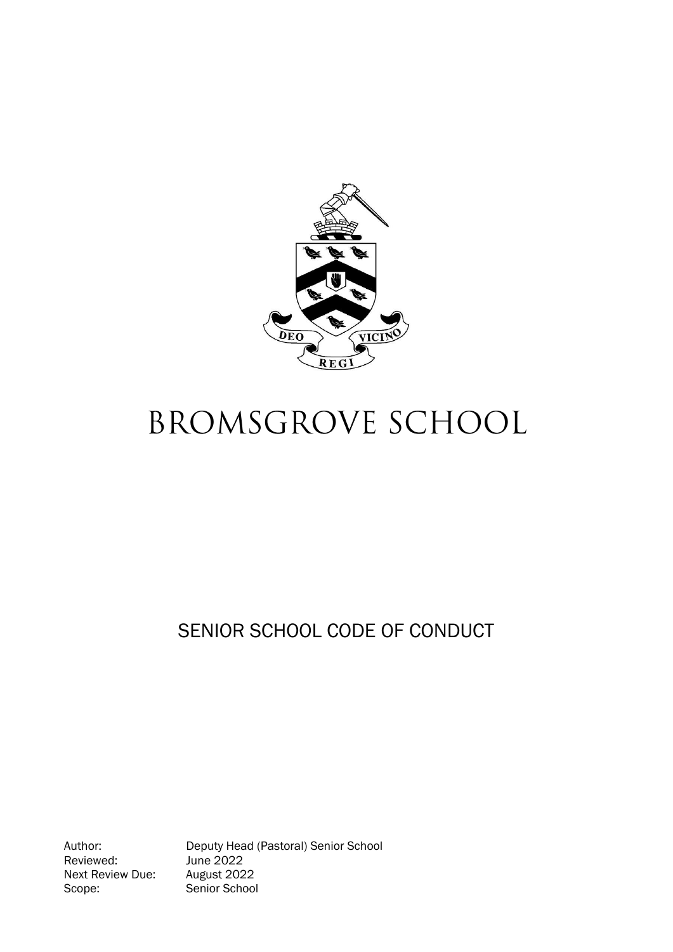

# BROMSGROVE SCHOOL

# SENIOR SCHOOL CODE OF CONDUCT

Reviewed: June 2022<br>Next Review Due: August 2022 Next Review Due: Scope: Senior School

Author: Deputy Head (Pastoral) Senior School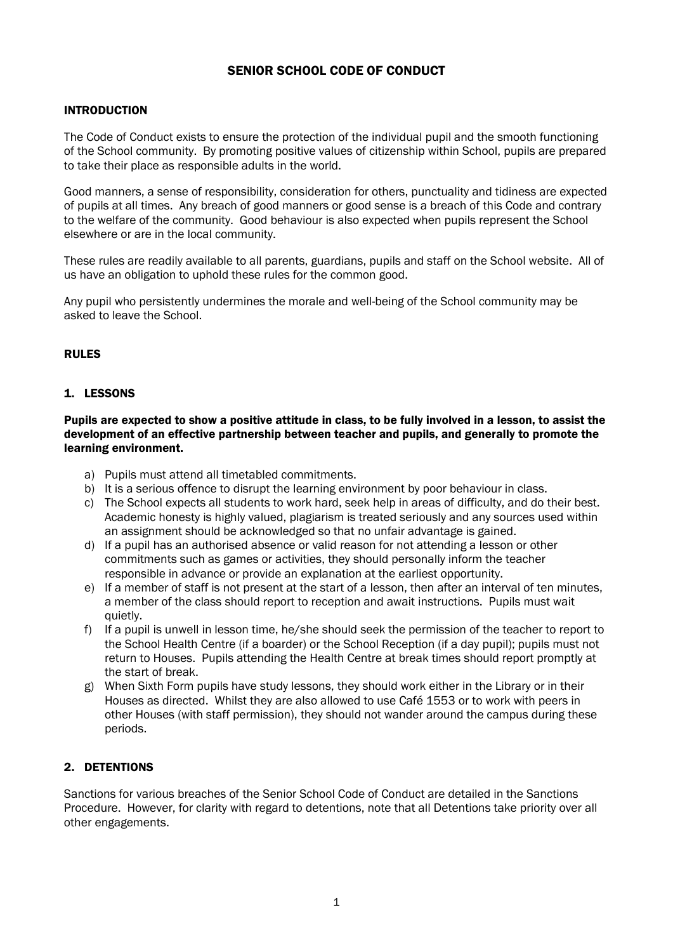# SENIOR SCHOOL CODE OF CONDUCT

#### INTRODUCTION

The Code of Conduct exists to ensure the protection of the individual pupil and the smooth functioning of the School community. By promoting positive values of citizenship within School, pupils are prepared to take their place as responsible adults in the world.

Good manners, a sense of responsibility, consideration for others, punctuality and tidiness are expected of pupils at all times. Any breach of good manners or good sense is a breach of this Code and contrary to the welfare of the community. Good behaviour is also expected when pupils represent the School elsewhere or are in the local community.

These rules are readily available to all parents, guardians, pupils and staff on the School website. All of us have an obligation to uphold these rules for the common good.

Any pupil who persistently undermines the morale and well-being of the School community may be asked to leave the School.

#### RULES

#### 1. LESSONS

Pupils are expected to show a positive attitude in class, to be fully involved in a lesson, to assist the development of an effective partnership between teacher and pupils, and generally to promote the learning environment.

- a) Pupils must attend all timetabled commitments.
- b) It is a serious offence to disrupt the learning environment by poor behaviour in class.
- c) The School expects all students to work hard, seek help in areas of difficulty, and do their best. Academic honesty is highly valued, plagiarism is treated seriously and any sources used within an assignment should be acknowledged so that no unfair advantage is gained.
- d) If a pupil has an authorised absence or valid reason for not attending a lesson or other commitments such as games or activities, they should personally inform the teacher responsible in advance or provide an explanation at the earliest opportunity.
- e) If a member of staff is not present at the start of a lesson, then after an interval of ten minutes, a member of the class should report to reception and await instructions. Pupils must wait quietly.
- f) If a pupil is unwell in lesson time, he/she should seek the permission of the teacher to report to the School Health Centre (if a boarder) or the School Reception (if a day pupil); pupils must not return to Houses. Pupils attending the Health Centre at break times should report promptly at the start of break.
- g) When Sixth Form pupils have study lessons, they should work either in the Library or in their Houses as directed. Whilst they are also allowed to use Café 1553 or to work with peers in other Houses (with staff permission), they should not wander around the campus during these periods.

### 2. DETENTIONS

Sanctions for various breaches of the Senior School Code of Conduct are detailed in the Sanctions Procedure. However, for clarity with regard to detentions, note that all Detentions take priority over all other engagements.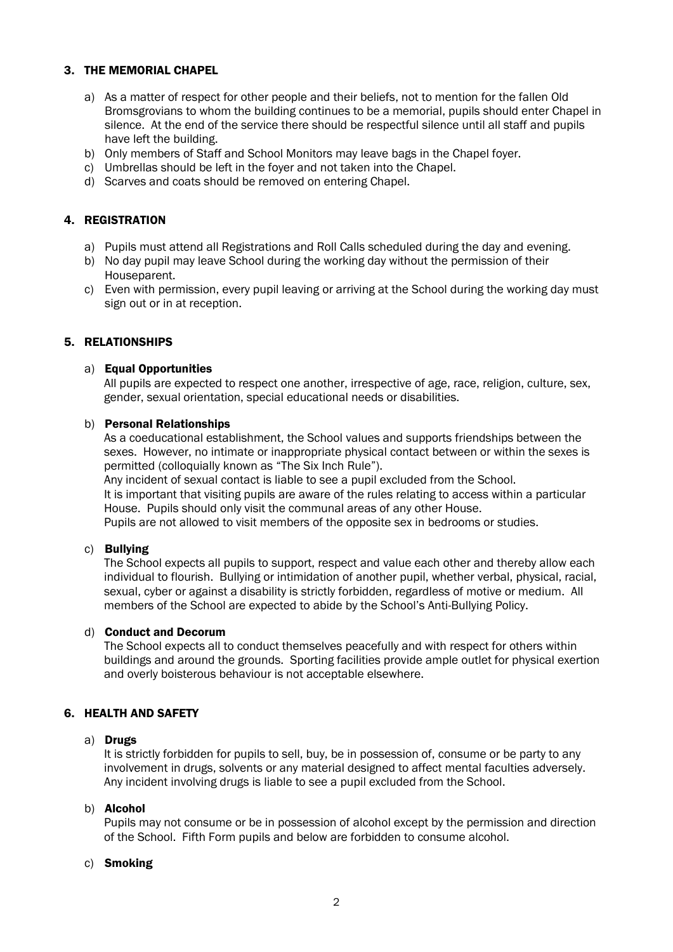#### 3. THE MEMORIAL CHAPEL

- a) As a matter of respect for other people and their beliefs, not to mention for the fallen Old Bromsgrovians to whom the building continues to be a memorial, pupils should enter Chapel in silence. At the end of the service there should be respectful silence until all staff and pupils have left the building.
- b) Only members of Staff and School Monitors may leave bags in the Chapel foyer.
- c) Umbrellas should be left in the foyer and not taken into the Chapel.
- d) Scarves and coats should be removed on entering Chapel.

#### 4. REGISTRATION

- a) Pupils must attend all Registrations and Roll Calls scheduled during the day and evening.
- b) No day pupil may leave School during the working day without the permission of their Houseparent.
- c) Even with permission, every pupil leaving or arriving at the School during the working day must sign out or in at reception.

#### 5. RELATIONSHIPS

#### a) Equal Opportunities

All pupils are expected to respect one another, irrespective of age, race, religion, culture, sex, gender, sexual orientation, special educational needs or disabilities.

#### b) Personal Relationships

As a coeducational establishment, the School values and supports friendships between the sexes. However, no intimate or inappropriate physical contact between or within the sexes is permitted (colloquially known as "The Six Inch Rule").

Any incident of sexual contact is liable to see a pupil excluded from the School.

It is important that visiting pupils are aware of the rules relating to access within a particular House. Pupils should only visit the communal areas of any other House.

Pupils are not allowed to visit members of the opposite sex in bedrooms or studies.

#### c) Bullying

The School expects all pupils to support, respect and value each other and thereby allow each individual to flourish. Bullying or intimidation of another pupil, whether verbal, physical, racial, sexual, cyber or against a disability is strictly forbidden, regardless of motive or medium. All members of the School are expected to abide by the School's Anti-Bullying Policy.

#### d) Conduct and Decorum

The School expects all to conduct themselves peacefully and with respect for others within buildings and around the grounds. Sporting facilities provide ample outlet for physical exertion and overly boisterous behaviour is not acceptable elsewhere.

#### 6. HEALTH AND SAFETY

#### a) Drugs

It is strictly forbidden for pupils to sell, buy, be in possession of, consume or be party to any involvement in drugs, solvents or any material designed to affect mental faculties adversely. Any incident involving drugs is liable to see a pupil excluded from the School.

#### b) Alcohol

Pupils may not consume or be in possession of alcohol except by the permission and direction of the School. Fifth Form pupils and below are forbidden to consume alcohol.

#### c) Smoking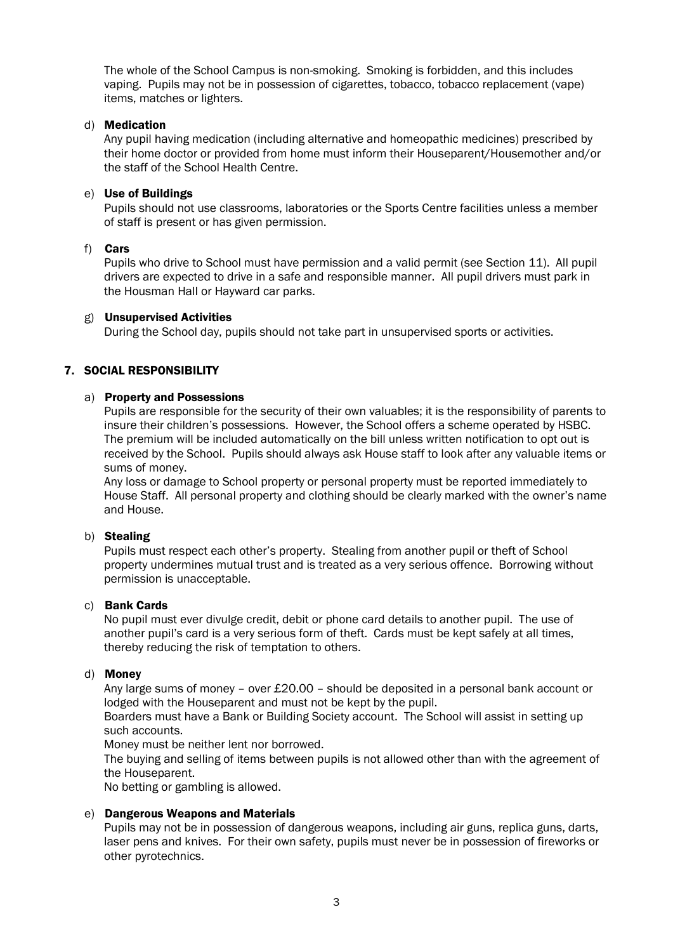The whole of the School Campus is non-smoking. Smoking is forbidden, and this includes vaping. Pupils may not be in possession of cigarettes, tobacco, tobacco replacement (vape) items, matches or lighters.

#### d) Medication

Any pupil having medication (including alternative and homeopathic medicines) prescribed by their home doctor or provided from home must inform their Houseparent/Housemother and/or the staff of the School Health Centre.

#### e) Use of Buildings

Pupils should not use classrooms, laboratories or the Sports Centre facilities unless a member of staff is present or has given permission.

#### f) Cars

Pupils who drive to School must have permission and a valid permit (see Section 11). All pupil drivers are expected to drive in a safe and responsible manner. All pupil drivers must park in the Housman Hall or Hayward car parks.

#### g) Unsupervised Activities

During the School day, pupils should not take part in unsupervised sports or activities.

#### 7. SOCIAL RESPONSIBILITY

#### a) Property and Possessions

Pupils are responsible for the security of their own valuables; it is the responsibility of parents to insure their children's possessions. However, the School offers a scheme operated by HSBC. The premium will be included automatically on the bill unless written notification to opt out is received by the School. Pupils should always ask House staff to look after any valuable items or sums of money.

Any loss or damage to School property or personal property must be reported immediately to House Staff. All personal property and clothing should be clearly marked with the owner's name and House.

#### b) Stealing

Pupils must respect each other's property. Stealing from another pupil or theft of School property undermines mutual trust and is treated as a very serious offence. Borrowing without permission is unacceptable.

#### c) Bank Cards

No pupil must ever divulge credit, debit or phone card details to another pupil. The use of another pupil's card is a very serious form of theft. Cards must be kept safely at all times, thereby reducing the risk of temptation to others.

#### d) Money

Any large sums of money – over £20.00 – should be deposited in a personal bank account or lodged with the Houseparent and must not be kept by the pupil.

Boarders must have a Bank or Building Society account. The School will assist in setting up such accounts.

Money must be neither lent nor borrowed.

The buying and selling of items between pupils is not allowed other than with the agreement of the Houseparent.

No betting or gambling is allowed.

#### e) Dangerous Weapons and Materials

Pupils may not be in possession of dangerous weapons, including air guns, replica guns, darts, laser pens and knives. For their own safety, pupils must never be in possession of fireworks or other pyrotechnics.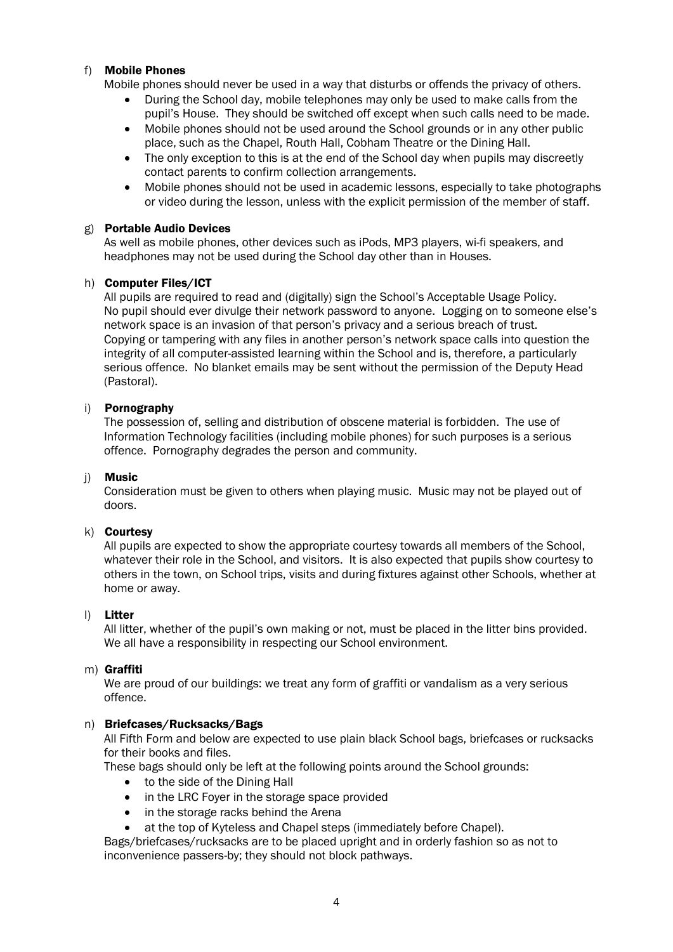#### f) Mobile Phones

Mobile phones should never be used in a way that disturbs or offends the privacy of others.

- During the School day, mobile telephones may only be used to make calls from the pupil's House. They should be switched off except when such calls need to be made.
- Mobile phones should not be used around the School grounds or in any other public place, such as the Chapel, Routh Hall, Cobham Theatre or the Dining Hall.
- The only exception to this is at the end of the School day when pupils may discreetly contact parents to confirm collection arrangements.
- Mobile phones should not be used in academic lessons, especially to take photographs or video during the lesson, unless with the explicit permission of the member of staff.

#### g) Portable Audio Devices

As well as mobile phones, other devices such as iPods, MP3 players, wi-fi speakers, and headphones may not be used during the School day other than in Houses.

#### h) Computer Files/ICT

All pupils are required to read and (digitally) sign the School's Acceptable Usage Policy. No pupil should ever divulge their network password to anyone. Logging on to someone else's network space is an invasion of that person's privacy and a serious breach of trust. Copying or tampering with any files in another person's network space calls into question the integrity of all computer-assisted learning within the School and is, therefore, a particularly serious offence. No blanket emails may be sent without the permission of the Deputy Head (Pastoral).

#### i) Pornography

The possession of, selling and distribution of obscene material is forbidden. The use of Information Technology facilities (including mobile phones) for such purposes is a serious offence. Pornography degrades the person and community.

#### j) Music

Consideration must be given to others when playing music. Music may not be played out of doors.

#### k) Courtesy

All pupils are expected to show the appropriate courtesy towards all members of the School, whatever their role in the School, and visitors. It is also expected that pupils show courtesy to others in the town, on School trips, visits and during fixtures against other Schools, whether at home or away.

#### l) Litter

All litter, whether of the pupil's own making or not, must be placed in the litter bins provided. We all have a responsibility in respecting our School environment.

#### m) Graffiti

We are proud of our buildings: we treat any form of graffiti or vandalism as a very serious offence.

#### n) Briefcases/Rucksacks/Bags

All Fifth Form and below are expected to use plain black School bags, briefcases or rucksacks for their books and files.

These bags should only be left at the following points around the School grounds:

- to the side of the Dining Hall
- in the LRC Foyer in the storage space provided
- in the storage racks behind the Arena
- at the top of Kyteless and Chapel steps (immediately before Chapel).

Bags/briefcases/rucksacks are to be placed upright and in orderly fashion so as not to inconvenience passers-by; they should not block pathways.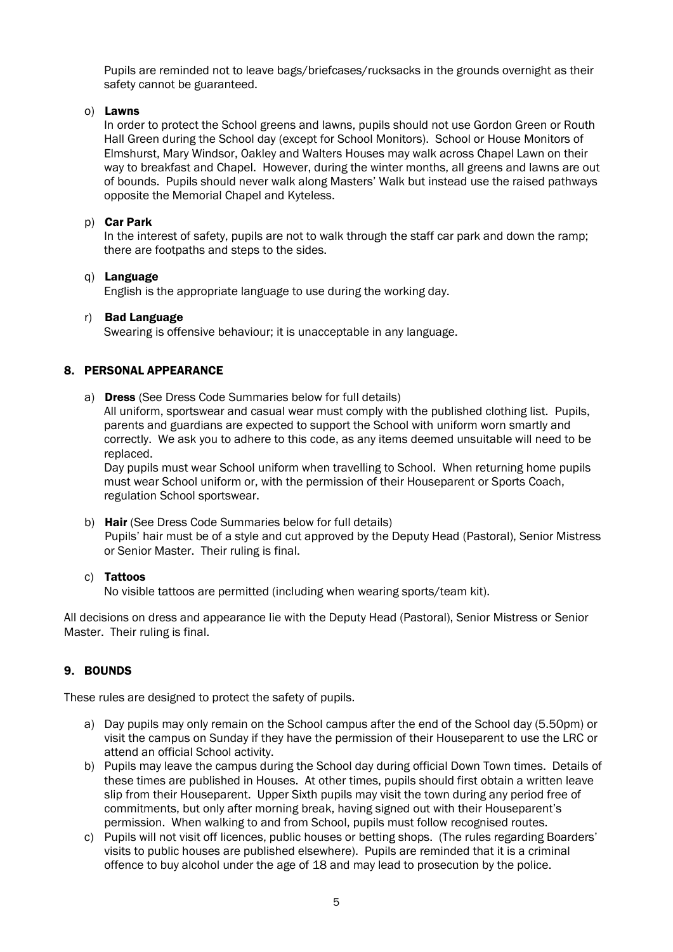Pupils are reminded not to leave bags/briefcases/rucksacks in the grounds overnight as their safety cannot be guaranteed.

#### o) Lawns

In order to protect the School greens and lawns, pupils should not use Gordon Green or Routh Hall Green during the School day (except for School Monitors). School or House Monitors of Elmshurst, Mary Windsor, Oakley and Walters Houses may walk across Chapel Lawn on their way to breakfast and Chapel. However, during the winter months, all greens and lawns are out of bounds. Pupils should never walk along Masters' Walk but instead use the raised pathways opposite the Memorial Chapel and Kyteless.

#### p) Car Park

In the interest of safety, pupils are not to walk through the staff car park and down the ramp; there are footpaths and steps to the sides.

#### q) Language

English is the appropriate language to use during the working day.

#### r) Bad Language

Swearing is offensive behaviour; it is unacceptable in any language.

## 8. PERSONAL APPEARANCE

a) Dress (See Dress Code Summaries below for full details)

All uniform, sportswear and casual wear must comply with the published clothing list. Pupils, parents and guardians are expected to support the School with uniform worn smartly and correctly. We ask you to adhere to this code, as any items deemed unsuitable will need to be replaced.

Day pupils must wear School uniform when travelling to School. When returning home pupils must wear School uniform or, with the permission of their Houseparent or Sports Coach, regulation School sportswear.

b) Hair (See Dress Code Summaries below for full details) Pupils' hair must be of a style and cut approved by the Deputy Head (Pastoral), Senior Mistress or Senior Master. Their ruling is final.

#### c) Tattoos

No visible tattoos are permitted (including when wearing sports/team kit).

All decisions on dress and appearance lie with the Deputy Head (Pastoral), Senior Mistress or Senior Master. Their ruling is final.

#### 9. BOUNDS

These rules are designed to protect the safety of pupils.

- a) Day pupils may only remain on the School campus after the end of the School day (5.50pm) or visit the campus on Sunday if they have the permission of their Houseparent to use the LRC or attend an official School activity.
- b) Pupils may leave the campus during the School day during official Down Town times. Details of these times are published in Houses. At other times, pupils should first obtain a written leave slip from their Houseparent. Upper Sixth pupils may visit the town during any period free of commitments, but only after morning break, having signed out with their Houseparent's permission. When walking to and from School, pupils must follow recognised routes.
- c) Pupils will not visit off licences, public houses or betting shops. (The rules regarding Boarders' visits to public houses are published elsewhere). Pupils are reminded that it is a criminal offence to buy alcohol under the age of 18 and may lead to prosecution by the police.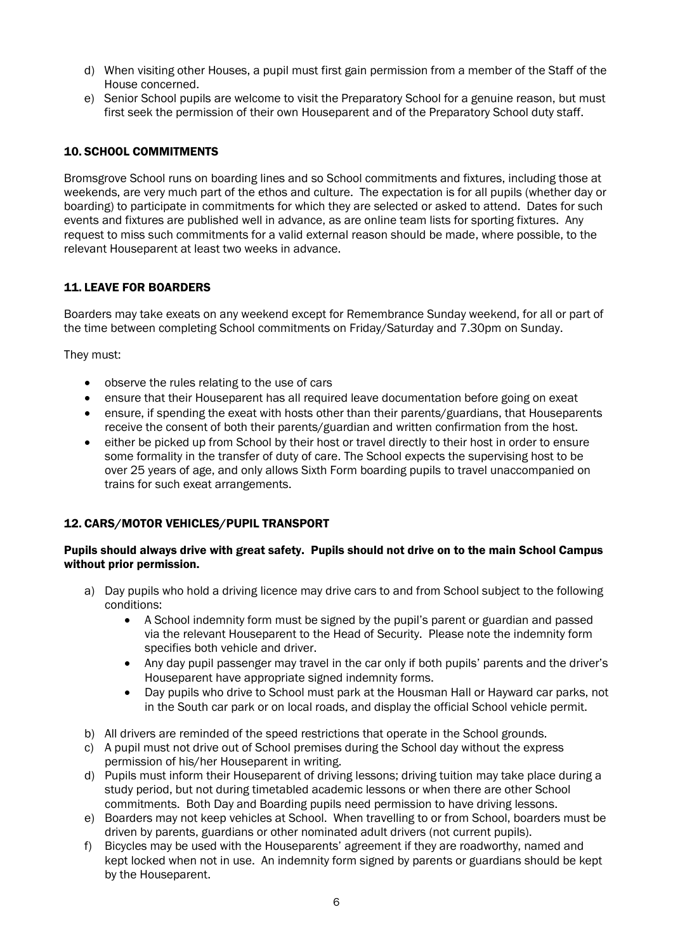- d) When visiting other Houses, a pupil must first gain permission from a member of the Staff of the House concerned.
- e) Senior School pupils are welcome to visit the Preparatory School for a genuine reason, but must first seek the permission of their own Houseparent and of the Preparatory School duty staff.

#### 10. SCHOOL COMMITMENTS

Bromsgrove School runs on boarding lines and so School commitments and fixtures, including those at weekends, are very much part of the ethos and culture. The expectation is for all pupils (whether day or boarding) to participate in commitments for which they are selected or asked to attend. Dates for such events and fixtures are published well in advance, as are online team lists for sporting fixtures. Any request to miss such commitments for a valid external reason should be made, where possible, to the relevant Houseparent at least two weeks in advance.

#### 11. LEAVE FOR BOARDERS

Boarders may take exeats on any weekend except for Remembrance Sunday weekend, for all or part of the time between completing School commitments on Friday/Saturday and 7.30pm on Sunday.

They must:

- observe the rules relating to the use of cars
- ensure that their Houseparent has all required leave documentation before going on exeat
- ensure, if spending the exeat with hosts other than their parents/guardians, that Houseparents receive the consent of both their parents/guardian and written confirmation from the host.
- either be picked up from School by their host or travel directly to their host in order to ensure some formality in the transfer of duty of care. The School expects the supervising host to be over 25 years of age, and only allows Sixth Form boarding pupils to travel unaccompanied on trains for such exeat arrangements.

#### 12. CARS/MOTOR VEHICLES/PUPIL TRANSPORT

#### Pupils should always drive with great safety. Pupils should not drive on to the main School Campus without prior permission.

- a) Day pupils who hold a driving licence may drive cars to and from School subject to the following conditions:
	- A School indemnity form must be signed by the pupil's parent or guardian and passed via the relevant Houseparent to the Head of Security. Please note the indemnity form specifies both vehicle and driver.
	- Any day pupil passenger may travel in the car only if both pupils' parents and the driver's Houseparent have appropriate signed indemnity forms.
	- Day pupils who drive to School must park at the Housman Hall or Hayward car parks, not in the South car park or on local roads, and display the official School vehicle permit.
- b) All drivers are reminded of the speed restrictions that operate in the School grounds.
- c) A pupil must not drive out of School premises during the School day without the express permission of his/her Houseparent in writing.
- d) Pupils must inform their Houseparent of driving lessons; driving tuition may take place during a study period, but not during timetabled academic lessons or when there are other School commitments. Both Day and Boarding pupils need permission to have driving lessons.
- e) Boarders may not keep vehicles at School. When travelling to or from School, boarders must be driven by parents, guardians or other nominated adult drivers (not current pupils).
- f) Bicycles may be used with the Houseparents' agreement if they are roadworthy, named and kept locked when not in use. An indemnity form signed by parents or guardians should be kept by the Houseparent.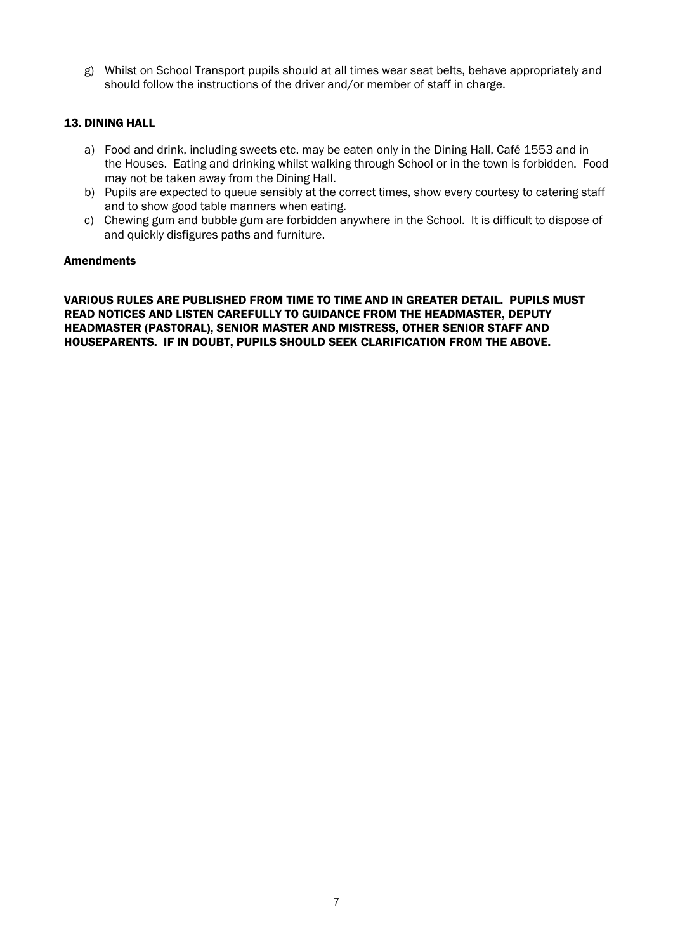g) Whilst on School Transport pupils should at all times wear seat belts, behave appropriately and should follow the instructions of the driver and/or member of staff in charge.

#### 13. DINING HALL

- a) Food and drink, including sweets etc. may be eaten only in the Dining Hall, Café 1553 and in the Houses. Eating and drinking whilst walking through School or in the town is forbidden. Food may not be taken away from the Dining Hall.
- b) Pupils are expected to queue sensibly at the correct times, show every courtesy to catering staff and to show good table manners when eating.
- c) Chewing gum and bubble gum are forbidden anywhere in the School. It is difficult to dispose of and quickly disfigures paths and furniture.

#### Amendments

VARIOUS RULES ARE PUBLISHED FROM TIME TO TIME AND IN GREATER DETAIL. PUPILS MUST READ NOTICES AND LISTEN CAREFULLY TO GUIDANCE FROM THE HEADMASTER, DEPUTY HEADMASTER (PASTORAL), SENIOR MASTER AND MISTRESS, OTHER SENIOR STAFF AND HOUSEPARENTS. IF IN DOUBT, PUPILS SHOULD SEEK CLARIFICATION FROM THE ABOVE.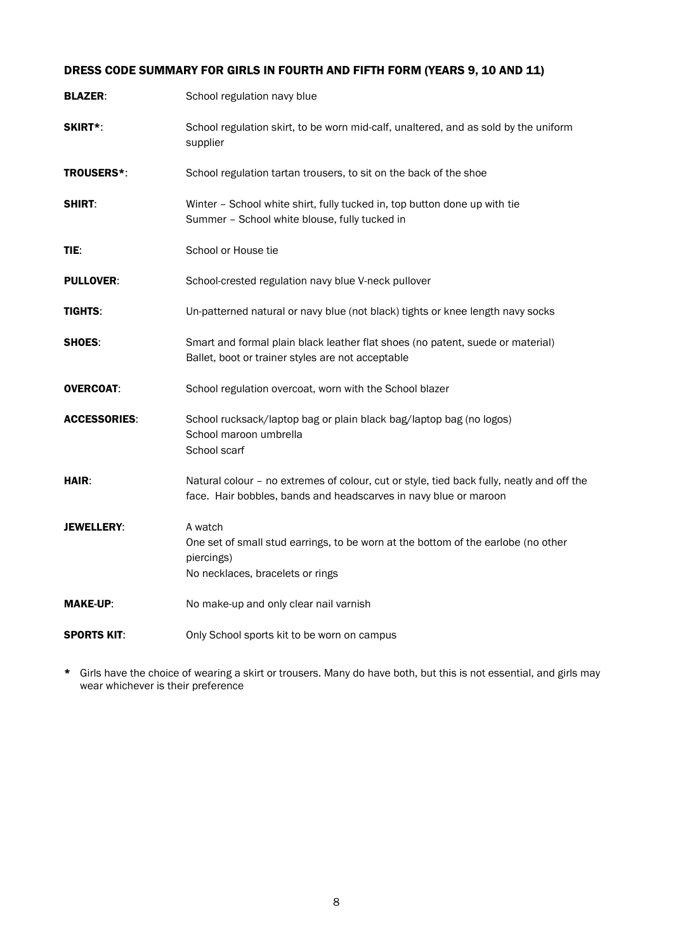# DRESS CODE SUMMARY FOR GIRLS IN FOURTH AND FIFTH FORM (YEARS 9, 10 AND 11)

| <b>BLAZER:</b>      | School regulation navy blue                                                                                                                                   |
|---------------------|---------------------------------------------------------------------------------------------------------------------------------------------------------------|
| <b>SKIRT*:</b>      | School regulation skirt, to be worn mid-calf, unaltered, and as sold by the uniform<br>supplier                                                               |
| TROUSERS*:          | School regulation tartan trousers, to sit on the back of the shoe                                                                                             |
| <b>SHIRT:</b>       | Winter - School white shirt, fully tucked in, top button done up with tie<br>Summer - School white blouse, fully tucked in                                    |
| TIE:                | School or House tie                                                                                                                                           |
| <b>PULLOVER:</b>    | School-crested regulation navy blue V-neck pullover                                                                                                           |
| <b>TIGHTS:</b>      | Un-patterned natural or navy blue (not black) tights or knee length navy socks                                                                                |
| <b>SHOES:</b>       | Smart and formal plain black leather flat shoes (no patent, suede or material)<br>Ballet, boot or trainer styles are not acceptable                           |
| <b>OVERCOAT:</b>    | School regulation overcoat, worn with the School blazer                                                                                                       |
| <b>ACCESSORIES:</b> | School rucksack/laptop bag or plain black bag/laptop bag (no logos)<br>School maroon umbrella<br>School scarf                                                 |
| HAIR:               | Natural colour - no extremes of colour, cut or style, tied back fully, neatly and off the<br>face. Hair bobbles, bands and headscarves in navy blue or maroon |
| <b>JEWELLERY:</b>   | A watch<br>One set of small stud earrings, to be worn at the bottom of the earlobe (no other<br>piercings)<br>No necklaces, bracelets or rings                |
| <b>MAKE-UP:</b>     | No make-up and only clear nail varnish                                                                                                                        |
| <b>SPORTS KIT:</b>  | Only School sports kit to be worn on campus                                                                                                                   |

\* Girls have the choice of wearing a skirt or trousers. Many do have both, but this is not essential, and girls may wear whichever is their preference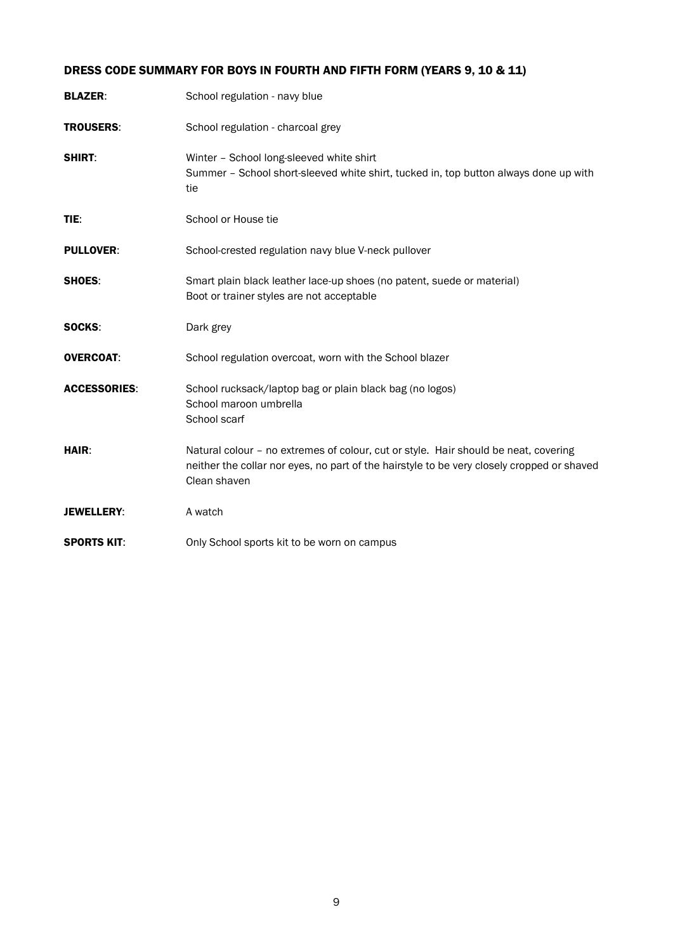# DRESS CODE SUMMARY FOR BOYS IN FOURTH AND FIFTH FORM (YEARS 9, 10 & 11)

| <b>BLAZER:</b>      | School regulation - navy blue                                                                                                                                                                     |
|---------------------|---------------------------------------------------------------------------------------------------------------------------------------------------------------------------------------------------|
| <b>TROUSERS:</b>    | School regulation - charcoal grey                                                                                                                                                                 |
| <b>SHIRT:</b>       | Winter - School long-sleeved white shirt<br>Summer - School short-sleeved white shirt, tucked in, top button always done up with<br>tie                                                           |
| TIE:                | School or House tie                                                                                                                                                                               |
| <b>PULLOVER:</b>    | School-crested regulation navy blue V-neck pullover                                                                                                                                               |
| <b>SHOES:</b>       | Smart plain black leather lace-up shoes (no patent, suede or material)<br>Boot or trainer styles are not acceptable                                                                               |
| SOCKS:              | Dark grey                                                                                                                                                                                         |
| <b>OVERCOAT:</b>    | School regulation overcoat, worn with the School blazer                                                                                                                                           |
| <b>ACCESSORIES:</b> | School rucksack/laptop bag or plain black bag (no logos)<br>School maroon umbrella<br>School scarf                                                                                                |
| HAIR:               | Natural colour - no extremes of colour, cut or style. Hair should be neat, covering<br>neither the collar nor eyes, no part of the hairstyle to be very closely cropped or shaved<br>Clean shaven |
| <b>JEWELLERY:</b>   | A watch                                                                                                                                                                                           |
| <b>SPORTS KIT:</b>  | Only School sports kit to be worn on campus                                                                                                                                                       |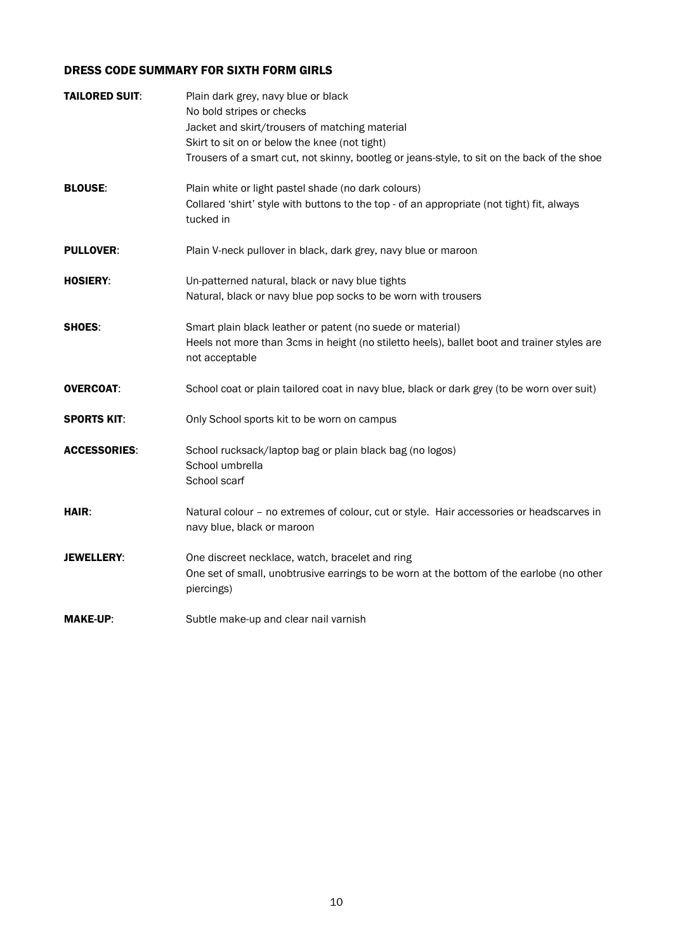# DRESS CODE SUMMARY FOR SIXTH FORM GIRLS

| <b>TAILORED SUIT:</b> | Plain dark grey, navy blue or black<br>No bold stripes or checks<br>Jacket and skirt/trousers of matching material<br>Skirt to sit on or below the knee (not tight)<br>Trousers of a smart cut, not skinny, bootleg or jeans-style, to sit on the back of the shoe |
|-----------------------|--------------------------------------------------------------------------------------------------------------------------------------------------------------------------------------------------------------------------------------------------------------------|
| <b>BLOUSE:</b>        | Plain white or light pastel shade (no dark colours)<br>Collared 'shirt' style with buttons to the top - of an appropriate (not tight) fit, always<br>tucked in                                                                                                     |
| <b>PULLOVER:</b>      | Plain V-neck pullover in black, dark grey, navy blue or maroon                                                                                                                                                                                                     |
| <b>HOSIERY:</b>       | Un-patterned natural, black or navy blue tights<br>Natural, black or navy blue pop socks to be worn with trousers                                                                                                                                                  |
| <b>SHOES:</b>         | Smart plain black leather or patent (no suede or material)<br>Heels not more than 3cms in height (no stiletto heels), ballet boot and trainer styles are<br>not acceptable                                                                                         |
| <b>OVERCOAT:</b>      | School coat or plain tailored coat in navy blue, black or dark grey (to be worn over suit)                                                                                                                                                                         |
| <b>SPORTS KIT:</b>    | Only School sports kit to be worn on campus                                                                                                                                                                                                                        |
| <b>ACCESSORIES:</b>   | School rucksack/laptop bag or plain black bag (no logos)<br>School umbrella<br>School scarf                                                                                                                                                                        |
| <b>HAIR:</b>          | Natural colour - no extremes of colour, cut or style. Hair accessories or headscarves in<br>navy blue, black or maroon                                                                                                                                             |
| <b>JEWELLERY:</b>     | One discreet necklace, watch, bracelet and ring<br>One set of small, unobtrusive earrings to be worn at the bottom of the earlobe (no other<br>piercings)                                                                                                          |
| <b>MAKE-UP:</b>       | Subtle make-up and clear nail varnish                                                                                                                                                                                                                              |